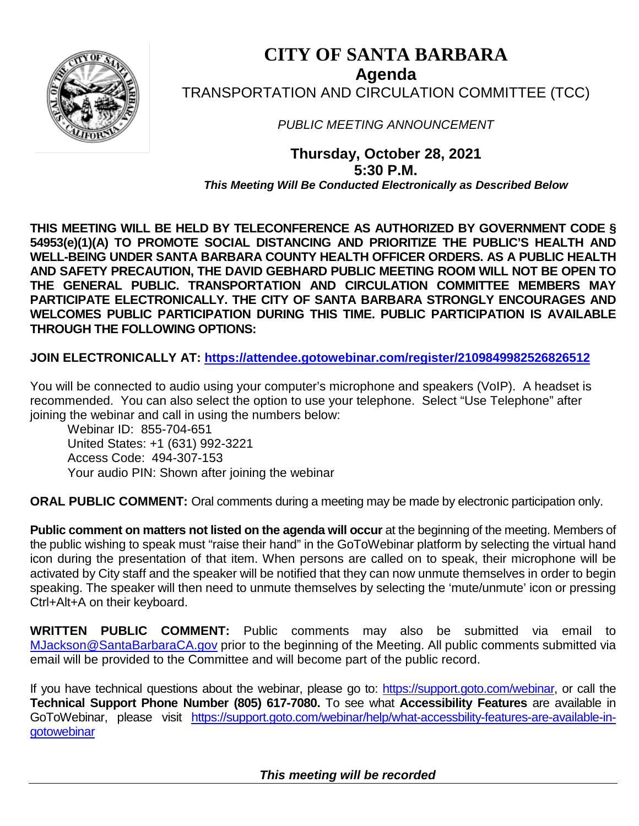

# **CITY OF SANTA BARBARA Agenda** TRANSPORTATION AND CIRCULATION COMMITTEE (TCC)

*PUBLIC MEETING ANNOUNCEMENT*

**Thursday, October 28, 2021 5:30 P.M.** *This Meeting Will Be Conducted Electronically as Described Below*

**THIS MEETING WILL BE HELD BY TELECONFERENCE AS AUTHORIZED BY GOVERNMENT CODE § 54953(e)(1)(A) TO PROMOTE SOCIAL DISTANCING AND PRIORITIZE THE PUBLIC'S HEALTH AND WELL-BEING UNDER SANTA BARBARA COUNTY HEALTH OFFICER ORDERS. AS A PUBLIC HEALTH AND SAFETY PRECAUTION, THE DAVID GEBHARD PUBLIC MEETING ROOM WILL NOT BE OPEN TO THE GENERAL PUBLIC. TRANSPORTATION AND CIRCULATION COMMITTEE MEMBERS MAY PARTICIPATE ELECTRONICALLY. THE CITY OF SANTA BARBARA STRONGLY ENCOURAGES AND WELCOMES PUBLIC PARTICIPATION DURING THIS TIME. PUBLIC PARTICIPATION IS AVAILABLE THROUGH THE FOLLOWING OPTIONS:**

**JOIN ELECTRONICALLY AT: <https://attendee.gotowebinar.com/register/2109849982526826512>**

You will be connected to audio using your computer's microphone and speakers (VoIP). A headset is recommended. You can also select the option to use your telephone. Select "Use Telephone" after joining the webinar and call in using the numbers below:

Webinar ID: 855-704-651 United States: +1 (631) 992-3221 Access Code: 494-307-153 Your audio PIN: Shown after joining the webinar

**ORAL PUBLIC COMMENT:** Oral comments during a meeting may be made by electronic participation only.

**Public comment on matters not listed on the agenda will occur** at the beginning of the meeting. Members of the public wishing to speak must "raise their hand" in the GoToWebinar platform by selecting the virtual hand icon during the presentation of that item. When persons are called on to speak, their microphone will be activated by City staff and the speaker will be notified that they can now unmute themselves in order to begin speaking. The speaker will then need to unmute themselves by selecting the 'mute/unmute' icon or pressing Ctrl+Alt+A on their keyboard.

**WRITTEN PUBLIC COMMENT:** Public comments may also be submitted via email to [MJackson@SantaBarbaraCA.gov](mailto:MJackson@SantaBarbaraCA.gov) prior to the beginning of the Meeting. All public comments submitted via email will be provided to the Committee and will become part of the public record.

If you have technical questions about the webinar, please go to: [https://support.goto.com/webinar,](https://support.goto.com/webinar) or call the **Technical Support Phone Number (805) 617-7080.** To see what **Accessibility Features** are available in GoToWebinar, please visit [https://support.goto.com/webinar/help/what-accessbility-features-are-available-in](https://support.goto.com/webinar/help/what-accessbility-features-are-available-in-gotowebinar)**[gotowebinar](https://support.goto.com/webinar/help/what-accessbility-features-are-available-in-gotowebinar)** 

 *This meeting will be recorded*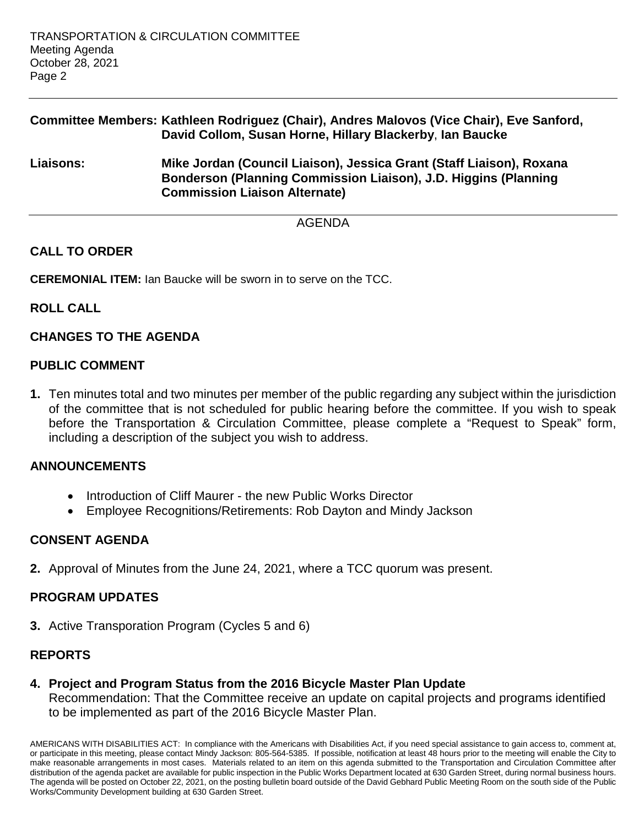## **Committee Members: Kathleen Rodriguez (Chair), Andres Malovos (Vice Chair), Eve Sanford, David Collom, Susan Horne, Hillary Blackerby**, **Ian Baucke**

**Liaisons: Mike Jordan (Council Liaison), Jessica Grant (Staff Liaison), Roxana Bonderson (Planning Commission Liaison), J.D. Higgins (Planning Commission Liaison Alternate)**

AGENDA

## **CALL TO ORDER**

**CEREMONIAL ITEM:** Ian Baucke will be sworn in to serve on the TCC.

#### **ROLL CALL**

### **CHANGES TO THE AGENDA**

### **PUBLIC COMMENT**

**1.** Ten minutes total and two minutes per member of the public regarding any subject within the jurisdiction of the committee that is not scheduled for public hearing before the committee. If you wish to speak before the Transportation & Circulation Committee, please complete a "Request to Speak" form, including a description of the subject you wish to address.

#### **ANNOUNCEMENTS**

- Introduction of Cliff Maurer the new Public Works Director
- Employee Recognitions/Retirements: Rob Dayton and Mindy Jackson

### **CONSENT AGENDA**

**2.** Approval of Minutes from the June 24, 2021, where a TCC quorum was present.

### **PROGRAM UPDATES**

**3.** Active Transporation Program (Cycles 5 and 6)

# **REPORTS**

**4. Project and Program Status from the 2016 Bicycle Master Plan Update** Recommendation: That the Committee receive an update on capital projects and programs identified to be implemented as part of the 2016 Bicycle Master Plan.

AMERICANS WITH DISABILITIES ACT: In compliance with the Americans with Disabilities Act, if you need special assistance to gain access to, comment at, or participate in this meeting, please contact Mindy Jackson: 805-564-5385. If possible, notification at least 48 hours prior to the meeting will enable the City to make reasonable arrangements in most cases. Materials related to an item on this agenda submitted to the Transportation and Circulation Committee after distribution of the agenda packet are available for public inspection in the Public Works Department located at 630 Garden Street, during normal business hours. The agenda will be posted on October 22, 2021, on the posting bulletin board outside of the David Gebhard Public Meeting Room on the south side of the Public Works/Community Development building at 630 Garden Street.